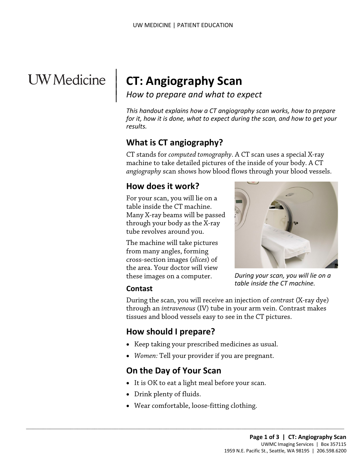# **UW** Medicine

 $\parallel$  $\vert$  $\vert$ 

## **CT: Angiography Scan**

*How to prepare and what to expect*

*This handout explains how a CT angiography scan works, how to prepare for it, how it is done, what to expect during the scan, and how to get your results.*

## **What is CT angiography?**

CT stands for *computed tomography*. A CT scan uses a special X-ray machine to take detailed pictures of the inside of your body. A CT *angiography* scan shows how blood flows through your blood vessels.

## **How does it work?**

For your scan, you will lie on a table inside the CT machine. Many X-ray beams will be passed through your body as the X-ray tube revolves around you.

The machine will take pictures from many angles, forming cross-section images (*slices*) of the area. Your doctor will view these images on a computer.



*During your scan, you will lie on a table inside the CT machine.*

#### **Contast**

During the scan, you will receive an injection of *contrast* (X-ray dye) through an *intravenous* (IV) tube in your arm vein. Contrast makes tissues and blood vessels easy to see in the CT pictures.

## **How should I prepare?**

- Keep taking your prescribed medicines as usual.
- *Women:* Tell your provider if you are pregnant.

## **On the Day of Your Scan**

- It is OK to eat a light meal before your scan.
- Drink plenty of fluids.
- Wear comfortable, loose-fitting clothing.

 $\_$  ,  $\_$  ,  $\_$  ,  $\_$  ,  $\_$  ,  $\_$  ,  $\_$  ,  $\_$  ,  $\_$  ,  $\_$  ,  $\_$  ,  $\_$  ,  $\_$  ,  $\_$  ,  $\_$  ,  $\_$  ,  $\_$  ,  $\_$  ,  $\_$  ,  $\_$  ,  $\_$  ,  $\_$  ,  $\_$  ,  $\_$  ,  $\_$  ,  $\_$  ,  $\_$  ,  $\_$  ,  $\_$  ,  $\_$  ,  $\_$  ,  $\_$  ,  $\_$  ,  $\_$  ,  $\_$  ,  $\_$  ,  $\_$  ,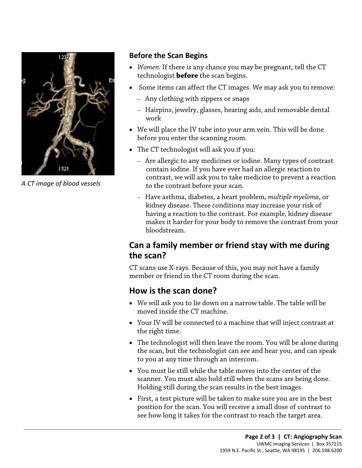

*A CT image of blood vessels* 

#### **Before the Scan Begins**

- *Women:* If there is any chance you may be pregnant, tell the CT technologist **before** the scan begins.
- Some items can affect the CT images. We may ask you to remove:
	- Any clothing with zippers or snaps
	- Hairpins, jewelry, glasses, hearing aids, and removable dental work
- We will place the IV tube into your arm vein. This will be done before you enter the scanning room.
- The CT technologist will ask you if you:
	- Are allergic to any medicines or iodine. Many types of contrast contain iodine. If you have ever had an allergic reaction to contrast, we will ask you to take medicine to prevent a reaction to the contrast before your scan.
- For contain iodine. If you have ever had an allergic reaction to<br>contrast, we will ask you to take medicine to prevent a react<br>to the contrast before your scan.<br>Have asthma, diabetes, a heart problem, *multiple myeloma*, c – Have asthma, diabetes, a heart problem, *multiple myeloma*, or kidney disease. These conditions may increase your risk of having a reaction to the contrast. For example, kidney disease makes it harder for your body to remove the contrast from your bloodstream.

## **Can a family member or friend stay with me during the scan?**

CT scans use X-rays. Because of this, you may not have a family member or friend in the CT room during the scan.

## **How is the scan done?**

 $\_$  ,  $\_$  ,  $\_$  ,  $\_$  ,  $\_$  ,  $\_$  ,  $\_$  ,  $\_$  ,  $\_$  ,  $\_$  ,  $\_$  ,  $\_$  ,  $\_$  ,  $\_$  ,  $\_$  ,  $\_$  ,  $\_$  ,  $\_$  ,  $\_$  ,  $\_$  ,  $\_$  ,  $\_$  ,  $\_$  ,  $\_$  ,  $\_$  ,  $\_$  ,  $\_$  ,  $\_$  ,  $\_$  ,  $\_$  ,  $\_$  ,  $\_$  ,  $\_$  ,  $\_$  ,  $\_$  ,  $\_$  ,  $\_$  ,

- We will ask you to lie down on a narrow table. The table will be moved inside the CT machine.
- Your IV will be connected to a machine that will inject contrast at the right time.
- The technologist will then leave the room. You will be alone during the scan, but the technologist can see and hear you, and can speak to you at any time through an intercom.
- You must lie still while the table moves into the center of the scanner. You must also hold still when the scans are being done. Holding still during the scan results in the best images.
- First, a test picture will be taken to make sure you are in the best position for the scan. You will receive a small dose of contrast to see how long it takes for the contrast to reach the target area.